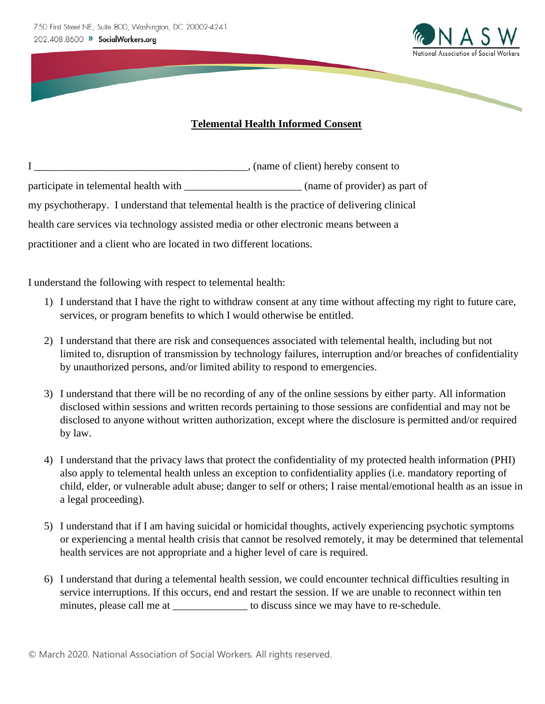

## **Telemental Health Informed Consent**

|                                                                                              | , (name of client) hereby consent to |  |
|----------------------------------------------------------------------------------------------|--------------------------------------|--|
| participate in telemental health with                                                        | (name of provider) as part of        |  |
| my psychotherapy. I understand that telemental health is the practice of delivering clinical |                                      |  |
| health care services via technology assisted media or other electronic means between a       |                                      |  |
| practitioner and a client who are located in two different locations.                        |                                      |  |

I understand the following with respect to telemental health:

- 1) I understand that I have the right to withdraw consent at any time without affecting my right to future care, services, or program benefits to which I would otherwise be entitled.
- 2) I understand that there are risk and consequences associated with telemental health, including but not limited to, disruption of transmission by technology failures, interruption and/or breaches of confidentiality by unauthorized persons, and/or limited ability to respond to emergencies.
- 3) I understand that there will be no recording of any of the online sessions by either party. All information disclosed within sessions and written records pertaining to those sessions are confidential and may not be disclosed to anyone without written authorization, except where the disclosure is permitted and/or required by law.
- 4) I understand that the privacy laws that protect the confidentiality of my protected health information (PHI) also apply to telemental health unless an exception to confidentiality applies (i.e. mandatory reporting of child, elder, or vulnerable adult abuse; danger to self or others; I raise mental/emotional health as an issue in a legal proceeding).
- 5) I understand that if I am having suicidal or homicidal thoughts, actively experiencing psychotic symptoms or experiencing a mental health crisis that cannot be resolved remotely, it may be determined that telemental health services are not appropriate and a higher level of care is required.
- 6) I understand that during a telemental health session, we could encounter technical difficulties resulting in service interruptions. If this occurs, end and restart the session. If we are unable to reconnect within ten minutes, please call me at \_\_\_\_\_\_\_\_\_\_\_\_\_\_\_\_\_ to discuss since we may have to re-schedule.